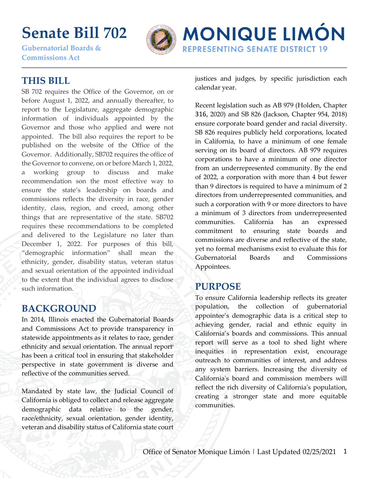# **Senate Bill 702**

**Gubernatorial Boards & Commissions Act** 



## **MONIQUE LIMÓN REPRESENTING SENATE DISTRICT 19**

#### **THIS BILL**

SB 702 requires the Office of the Governor, on or before August 1, 2022, and annually thereafter, to report to the Legislature, aggregate demographic information of individuals appointed by the Governor and those who applied and were not appointed. The bill also requires the report to be published on the website of the Office of the Governor. Additionally, SB702 requires the office of the Governor to convene, on or before March 1, 2022, a working group to discuss and make recommendation son the most effective way to ensure the state's leadership on boards and commissions reflects the diversity in race, gender identity, class, region, and creed, among other things that are representative of the state. SB702 requires these recommendations to be completed and delivered to the Legislature no later than December 1, 2022. For purposes of this bill, "demographic information" shall mean the ethnicity, gender, disability status, veteran status and sexual orientation of the appointed individual to the extent that the individual agrees to disclose such information.

#### **BACKGROUND**

In 2014, Illinois enacted the Gubernatorial Boards and Commissions Act to provide transparency in statewide appointments as it relates to race, gender ethnicity and sexual orientation. The annual report<sup>i</sup> has been a critical tool in ensuring that stakeholder perspective in state government is diverse and reflective of the communities served.

Mandated by state law, the Judicial Council of California is obliged to collect and release aggregate demographic data relative to the gender, race/ethnicity, sexual orientation, gender identity, veteran and disability status of California state court justices and judges, by specific jurisdiction each calendar year.

Recent legislation such as AB 979 (Holden, Chapter 316, 2020) and SB 826 (Jackson, Chapter 954, 2018) ensure corporate board gender and racial diversity. SB 826 requires publicly held corporations, located in California, to have a minimum of one female serving on its board of directors. AB 979 requires corporations to have a minimum of one director from an underrepresented community. By the end of 2022, a corporation with more than 4 but fewer than 9 directors is required to have a minimum of 2 directors from underrepresented communities, and such a corporation with 9 or more directors to have a minimum of 3 directors from underrepresented communities. California has an expressed commitment to ensuring state boards and commissions are diverse and reflective of the state, yet no formal mechanisms exist to evaluate this for Gubernatorial Boards and Commissions Appointees.

#### **PURPOSE**

To ensure California leadership reflects its greater population, the collection of gubernatorial appointee's demographic data is a critical step to achieving gender, racial and ethnic equity in California's boards and commissions. This annual report will serve as a tool to shed light where inequities in representation exist, encourage outreach to communities of interest, and address any system barriers. Increasing the diversity of California's board and commission members will reflect the rich diversity of California's population, creating a stronger state and more equitable communities.